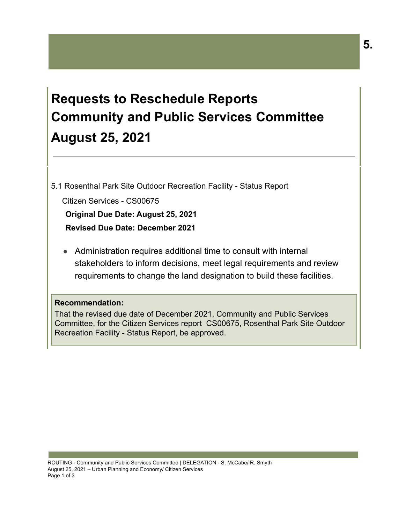# **Requests to Reschedule Reports Community and Public Services Committee August 25, 2021**

5.1 Rosenthal Park Site Outdoor Recreation Facility - Status Report

Citizen Services - CS00675 **Original Due Date: August 25, 2021 Revised Due Date: December 2021**

● Administration requires additional time to consult with internal stakeholders to inform decisions, meet legal requirements and review requirements to change the land designation to build these facilities.

## **Recommendation:**

That the revised due date of December 2021, Community and Public Services Committee, for the Citizen Services report CS00675, Rosenthal Park Site Outdoor Recreation Facility - Status Report, be approved.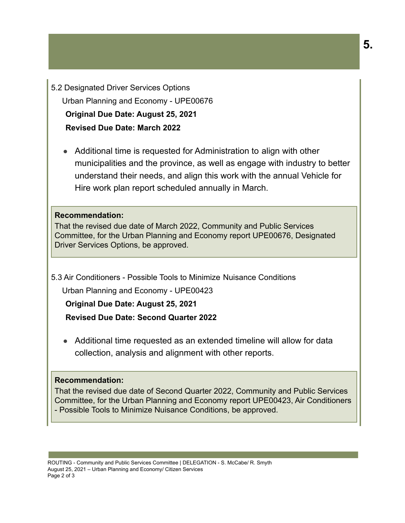5.2 Designated Driver Services Options Urban Planning and Economy - UPE00676 **Original Due Date: August 25, 2021 Revised Due Date: March 2022**

● Additional time is requested for Administration to align with other municipalities and the province, as well as engage with industry to better understand their needs, and align this work with the annual Vehicle for Hire work plan report scheduled annually in March.

## **Recommendation:**

That the revised due date of March 2022, Community and Public Services Committee, for the Urban Planning and Economy report UPE00676, Designated Driver Services Options, be approved.

5.3 Air Conditioners - Possible Tools to Minimize Nuisance Conditions

Urban Planning and Economy - UPE00423

**Original Due Date: August 25, 2021 Revised Due Date: Second Quarter 2022**

● Additional time requested as an extended timeline will allow for data collection, analysis and alignment with other reports.

## **Recommendation:**

That the revised due date of Second Quarter 2022, Community and Public Services Committee, for the Urban Planning and Economy report UPE00423, Air Conditioners - Possible Tools to Minimize Nuisance Conditions, be approved.

ROUTING - Community and Public Services Committee | DELEGATION - S. McCabe/ R. Smyth August 25, 2021 – Urban Planning and Economy/ Citizen Services Page 2 of 3